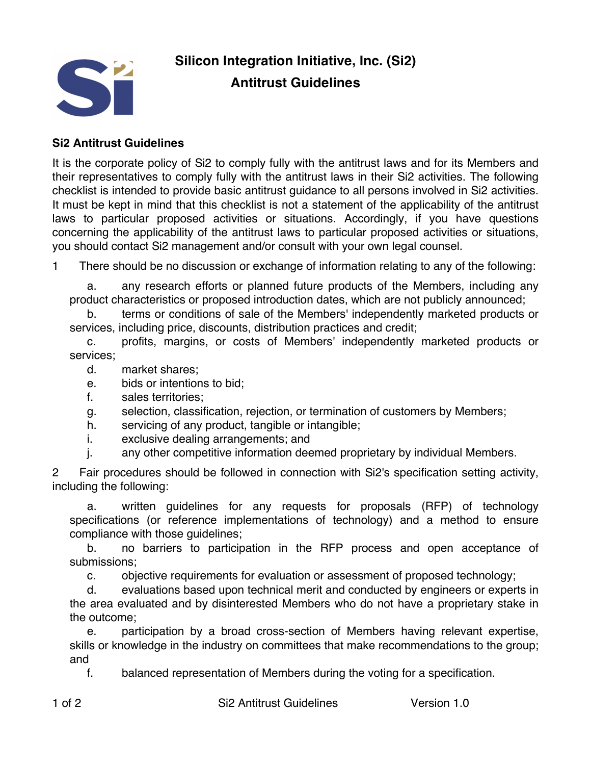

## **Silicon Integration Initiative, Inc. (Si2) Antitrust Guidelines**

## **Si2 Antitrust Guidelines**

It is the corporate policy of Si2 to comply fully with the antitrust laws and for its Members and their representatives to comply fully with the antitrust laws in their Si2 activities. The following checklist is intended to provide basic antitrust guidance to all persons involved in Si2 activities. It must be kept in mind that this checklist is not a statement of the applicability of the antitrust laws to particular proposed activities or situations. Accordingly, if you have questions concerning the applicability of the antitrust laws to particular proposed activities or situations, you should contact Si2 management and/or consult with your own legal counsel.

1 There should be no discussion or exchange of information relating to any of the following:

a. any research efforts or planned future products of the Members, including any product characteristics or proposed introduction dates, which are not publicly announced;

b. terms or conditions of sale of the Members' independently marketed products or services, including price, discounts, distribution practices and credit;

c. profits, margins, or costs of Members' independently marketed products or services;

- d. market shares;
- e. bids or intentions to bid;
- f. sales territories;
- g. selection, classification, rejection, or termination of customers by Members;
- h. servicing of any product, tangible or intangible;
- i. exclusive dealing arrangements; and
- j. any other competitive information deemed proprietary by individual Members.

2 Fair procedures should be followed in connection with Si2's specification setting activity, including the following:

a. written guidelines for any requests for proposals (RFP) of technology specifications (or reference implementations of technology) and a method to ensure compliance with those guidelines;

b. no barriers to participation in the RFP process and open acceptance of submissions;

c. objective requirements for evaluation or assessment of proposed technology;

d. evaluations based upon technical merit and conducted by engineers or experts in the area evaluated and by disinterested Members who do not have a proprietary stake in the outcome;

e. participation by a broad cross-section of Members having relevant expertise, skills or knowledge in the industry on committees that make recommendations to the group; and

f. balanced representation of Members during the voting for a specification.